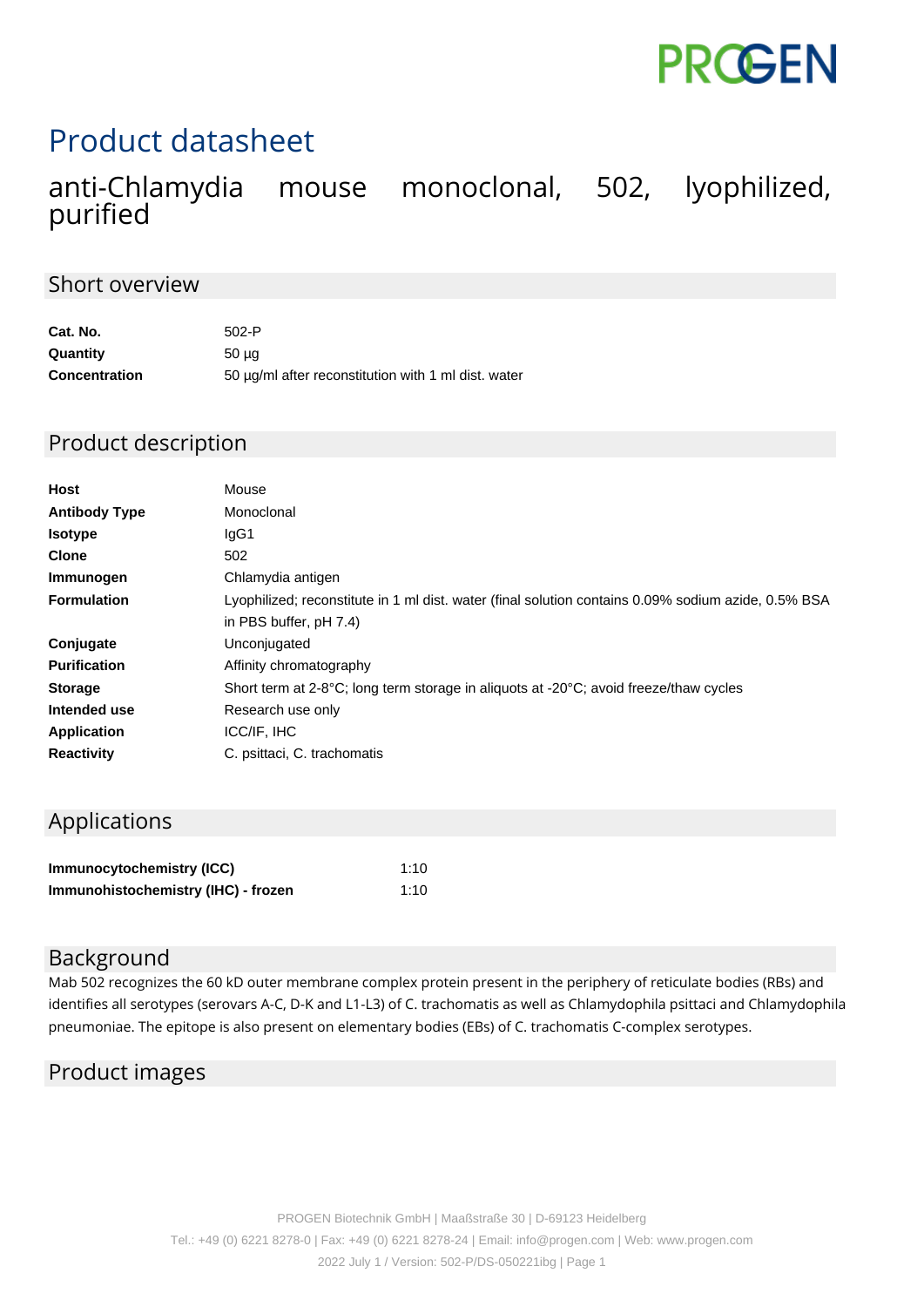

# Product datasheet

# anti-Chlamydia mouse monoclonal, 502, lyophilized, purified

#### Short overview

| Cat. No.             | $502-P$                                             |
|----------------------|-----------------------------------------------------|
| Quantity             | 50 µg                                               |
| <b>Concentration</b> | 50 µg/ml after reconstitution with 1 ml dist. water |

## Product description

| Host                 | Mouse                                                                                               |
|----------------------|-----------------------------------------------------------------------------------------------------|
| <b>Antibody Type</b> | Monoclonal                                                                                          |
| <b>Isotype</b>       | lgG1                                                                                                |
| <b>Clone</b>         | 502                                                                                                 |
| Immunogen            | Chlamydia antigen                                                                                   |
| <b>Formulation</b>   | Lyophilized; reconstitute in 1 ml dist. water (final solution contains 0.09% sodium azide, 0.5% BSA |
|                      | in PBS buffer, pH 7.4)                                                                              |
| Conjugate            | Unconjugated                                                                                        |
| <b>Purification</b>  | Affinity chromatography                                                                             |
| <b>Storage</b>       | Short term at 2-8°C; long term storage in aliquots at -20°C; avoid freeze/thaw cycles               |
| Intended use         | Research use only                                                                                   |
| <b>Application</b>   | ICC/IF, IHC                                                                                         |
| <b>Reactivity</b>    | C. psittaci, C. trachomatis                                                                         |

# Applications

| Immunocytochemistry (ICC)           | 1:10 |
|-------------------------------------|------|
| Immunohistochemistry (IHC) - frozen | 1:10 |

#### Background

Mab 502 recognizes the 60 kD outer membrane complex protein present in the periphery of reticulate bodies (RBs) and identifies all serotypes (serovars A-C, D-K and L1-L3) of C. trachomatis as well as Chlamydophila psittaci and Chlamydophila pneumoniae. The epitope is also present on elementary bodies (EBs) of C. trachomatis C-complex serotypes.

### Product images